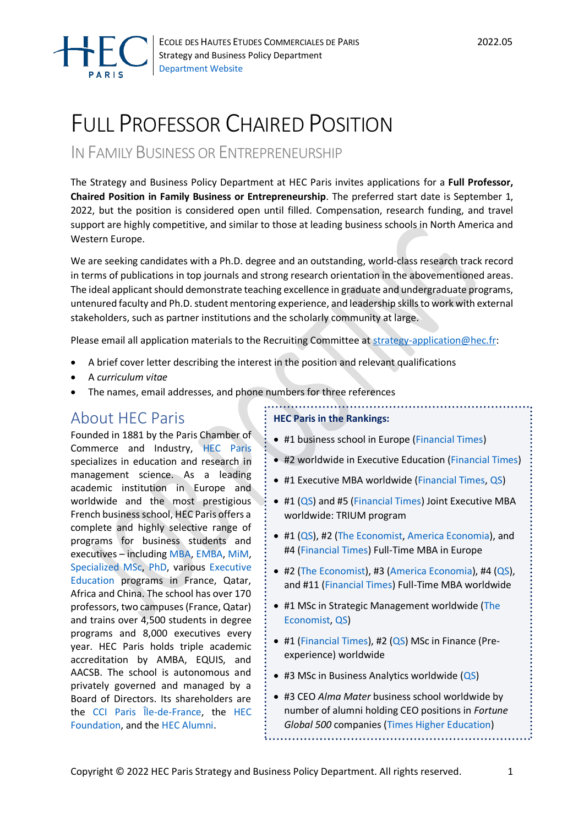

# FULL PROFESSOR CHAIRED POSITION

IN FAMILY BUSINESS OR ENTREPRENEURSHIP

The Strategy and Business Policy Department at HEC Paris invites applications for a **Full Professor, Chaired Position in Family Business or Entrepreneurship**. The preferred start date is September 1, 2022, but the position is considered open until filled. Compensation, research funding, and travel support are highly competitive, and similar to those at leading business schools in North America and Western Europe.

We are seeking candidates with a Ph.D. degree and an outstanding, world-class research track record in terms of publications in top journals and strong research orientation in the abovementioned areas. The ideal applicant should demonstrate teaching excellence in graduate and undergraduate programs, untenured faculty and Ph.D. student mentoring experience, and leadership skills to work with external stakeholders, such as partner institutions and the scholarly community at large.

Please email all application materials to the Recruiting Committee at [strategy-application@hec.fr:](mailto:strategy-application@hec.fr)

- A brief cover letter describing the interest in the position and relevant qualifications
- A *curriculum vitae*
- The names, email addresses, and phone numbers for three references

# About HEC Paris

Founded in 1881 by the Paris Chamber of Commerce and Industry, [HEC Paris](https://www.hec.edu/en) specializes in education and research in management science. As a leading academic institution in Europe and worldwide and the most prestigious French business school, HEC Paris offers a complete and highly selective range of programs for business students and executives – includin[g MBA,](https://www.hec.edu/en/mba-programs/mba) [EMBA,](https://www.hec.edu/en/mba-programs/executive-mba) [MiM,](https://www.hec.edu/en/master-s-programs/master-management) [Specialized MSc,](https://www.hec.edu/en/master-s-programs/specialized-masters) [PhD,](https://www.hec.edu/en/doctoral-program) various [Executive](https://www.hec.edu/en/executive-education)  [Education](https://www.hec.edu/en/executive-education) programs in France, Qatar, Africa and China. The school has over 170 professors, two campuses (France, Qatar) and trains over 4,500 students in degree programs and 8,000 executives every year. HEC Paris holds triple academic accreditation by AMBA, EQUIS, and AACSB. The school is autonomous and privately governed and managed by a Board of Directors. Its shareholders are the [CCI Paris Île-de-France,](https://www.cci-paris-idf.fr/fr) the [HEC](https://www.hec.edu/en/overview/hec-foundation)  [Foundation,](https://www.hec.edu/en/overview/hec-foundation) and the [HEC Alumni.](https://www.hec.edu/en/association)

### **HEC Paris in the Rankings:**

- #1 business school in Europe [\(Financial Times\)](https://rankings.ft.com/rankings/2869/european-business-school-rankings-2021)
- #2 worldwide in Executive Education [\(Financial Times\)](https://www.ft.com/content/36c1e468-8f2b-11ea-9e12-0d4655dbd44f)
- #1 Executive MBA worldwide [\(Financial Times,](https://rankings.ft.com/rankings/2863/emba-2021) [QS\)](https://www.topmba.com/emba-rankings)
- #1 [\(QS\)](https://www.topmba.com/emba-rankings) and #5 [\(Financial Times\)](https://rankings.ft.com/rankings/2863/emba-2021) Joint Executive MBA worldwide: TRIUM program
- #1 [\(QS\)](https://www.topuniversities.com/university-rankings/mba-rankings/global/2022), #2 [\(The Economist,](https://whichmba.economist.com/ranking/full-time-mba) [America Economia\)](https://mba.americaeconomia.com/articulos/notas/conozca-los-resultados-del-ranking-mba-global-2021), and #4 [\(Financial Times\)](https://rankings.ft.com/rankings/2866/mba-2022) Full-Time MBA in Europe
- #2 [\(The Economist\)](https://whichmba.economist.com/ranking/full-time-mba), #3 [\(America Economia\)](https://mba.americaeconomia.com/articulos/notas/conozca-los-resultados-del-ranking-mba-global-2021), #4 [\(QS\)](https://www.topuniversities.com/university-rankings/mba-rankings/global/2022), and #11 [\(Financial Times\)](https://rankings.ft.com/rankings/2866/mba-2022) Full-Time MBA worldwide
- #1 MSc in Strategic Management worldwide [\(The](https://whichmba.economist.com/ranking/mim/2021)  [Economist,](https://whichmba.economist.com/ranking/mim/2021) [QS\)](https://www.topuniversities.com/business-masters-rankings/2022)
- #1 [\(Financial Times\)](https://rankings.ft.com/rankings/2864/masters-in-finance-pre-experience-2021), #2 [\(QS\)](https://www.topuniversities.com/business-masters-rankings/2022) MSc in Finance (Preexperience) worldwide
- #3 MSc in Business Analytics worldwide [\(QS\)](https://www.topuniversities.com/business-masters-rankings/2022)
- #3 CEO *Alma Mater* business school worldwide by number of alumni holding CEO positions in *Fortune Global 500* companies [\(Times Higher Education\)](https://www.timeshighereducation.com/features/alma-mater-index-2017-who-educates-global-business-elite)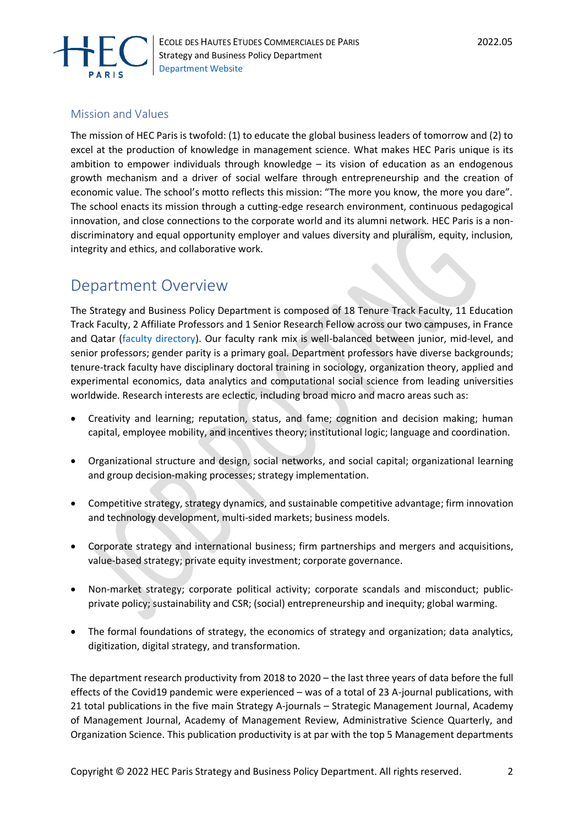

#### Mission and Values

The mission of HEC Paris is twofold: (1) to educate the global business leaders of tomorrow and (2) to excel at the production of knowledge in management science. What makes HEC Paris unique is its ambition to empower individuals through knowledge – its vision of education as an endogenous growth mechanism and a driver of social welfare through entrepreneurship and the creation of economic value. The school's motto reflects this mission: "The more you know, the more you dare". The school enacts its mission through a cutting-edge research environment, continuous pedagogical innovation, and close connections to the corporate world and its alumni network. HEC Paris is a nondiscriminatory and equal opportunity employer and values diversity and pluralism, equity, inclusion, integrity and ethics, and collaborative work.

## Department Overview

The Strategy and Business Policy Department is composed of 18 Tenure Track Faculty, 11 Education Track Faculty, 2 Affiliate Professors and 1 Senior Research Fellow across our two campuses, in France and Qatar [\(faculty directory\)](https://www.hec.edu/en/faculty-research/faculty-directory/faculty-member/all/Faculty/strategie-et-politique-d). Our faculty rank mix is well-balanced between junior, mid-level, and senior professors; gender parity is a primary goal. Department professors have diverse backgrounds; tenure-track faculty have disciplinary doctoral training in sociology, organization theory, applied and experimental economics, data analytics and computational social science from leading universities worldwide. Research interests are eclectic, including broad micro and macro areas such as:

- Creativity and learning; reputation, status, and fame; cognition and decision making; human capital, employee mobility, and incentives theory; institutional logic; language and coordination.
- Organizational structure and design, social networks, and social capital; organizational learning and group decision-making processes; strategy implementation.
- Competitive strategy, strategy dynamics, and sustainable competitive advantage; firm innovation and technology development, multi-sided markets; business models.
- Corporate strategy and international business; firm partnerships and mergers and acquisitions, value-based strategy; private equity investment; corporate governance.
- Non-market strategy; corporate political activity; corporate scandals and misconduct; publicprivate policy; sustainability and CSR; (social) entrepreneurship and inequity; global warming.
- The formal foundations of strategy, the economics of strategy and organization; data analytics, digitization, digital strategy, and transformation.

The department research productivity from 2018 to 2020 – the last three years of data before the full effects of the Covid19 pandemic were experienced – was of a total of 23 A-journal publications, with 21 total publications in the five main Strategy A-journals – Strategic Management Journal, Academy of Management Journal, Academy of Management Review, Administrative Science Quarterly, and Organization Science. This publication productivity is at par with the top 5 Management departments